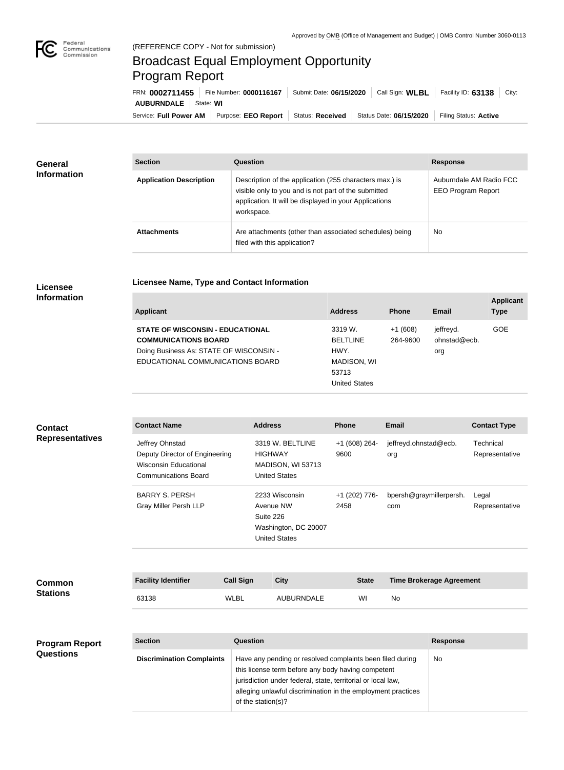

**Applicant Type**

## Broadcast Equal Employment Opportunity Program Report

Service: Full Power AM | Purpose: EEO Report | Status: Received | Status Date: 06/15/2020 | Filing Status: Active **AUBURNDALE** State: **WI** FRN: **0002711455** File Number: **0000116167** Submit Date: **06/15/2020** Call Sign: **WLBL** Facility ID: **63138** City:

| General<br><b>Information</b> | <b>Section</b>                 | Question                                                                                                                                                                                | <b>Response</b>                                      |
|-------------------------------|--------------------------------|-----------------------------------------------------------------------------------------------------------------------------------------------------------------------------------------|------------------------------------------------------|
|                               | <b>Application Description</b> | Description of the application (255 characters max.) is<br>visible only to you and is not part of the submitted<br>application. It will be displayed in your Applications<br>workspace. | Auburndale AM Radio FCC<br><b>EEO Program Report</b> |
|                               | <b>Attachments</b>             | Are attachments (other than associated schedules) being<br>filed with this application?                                                                                                 | <b>No</b>                                            |

## **Licensee Information**

| <b>Applicant</b> | <b>Address</b> | <b>Phone</b> | <b>Email</b> |
|------------------|----------------|--------------|--------------|

**Licensee Name, Type and Contact Information**

| <b>STATE OF WISCONSIN - EDUCATIONAL</b> | 3319 W.              | $+1(608)$ | jeffrevd.    | <b>GOE</b> |
|-----------------------------------------|----------------------|-----------|--------------|------------|
| <b>COMMUNICATIONS BOARD</b>             | <b>BELTLINE</b>      | 264-9600  | ohnstad@ecb. |            |
| Doing Business As: STATE OF WISCONSIN - | HWY.                 |           | org          |            |
| EDUCATIONAL COMMUNICATIONS BOARD        | MADISON, WI          |           |              |            |
|                                         | 53713                |           |              |            |
|                                         | <b>United States</b> |           |              |            |

| <b>Contact</b><br><b>Representatives</b>  | <b>Contact Name</b>                                                                                              |                  | <b>Address</b>                                                                                                                                                                                                                                                        | <b>Phone</b>          | <b>Email</b>                   |                                 | <b>Contact Type</b>         |
|-------------------------------------------|------------------------------------------------------------------------------------------------------------------|------------------|-----------------------------------------------------------------------------------------------------------------------------------------------------------------------------------------------------------------------------------------------------------------------|-----------------------|--------------------------------|---------------------------------|-----------------------------|
|                                           | Jeffrey Ohnstad<br>Deputy Director of Engineering<br><b>Wisconsin Educational</b><br><b>Communications Board</b> |                  | 3319 W. BELTLINE<br><b>HIGHWAY</b><br>MADISON, WI 53713<br><b>United States</b>                                                                                                                                                                                       | +1 (608) 264-<br>9600 | jeffreyd.ohnstad@ecb.<br>org   |                                 | Technical<br>Representative |
|                                           | <b>BARRY S. PERSH</b><br><b>Gray Miller Persh LLP</b>                                                            |                  | 2233 Wisconsin<br>Avenue NW<br>Suite 226<br>Washington, DC 20007<br><b>United States</b>                                                                                                                                                                              | +1 (202) 776-<br>2458 | bpersh@graymillerpersh.<br>com |                                 | Legal<br>Representative     |
| <b>Common</b><br><b>Stations</b>          | <b>Facility Identifier</b>                                                                                       | <b>Call Sign</b> | <b>City</b>                                                                                                                                                                                                                                                           | <b>State</b>          |                                | <b>Time Brokerage Agreement</b> |                             |
|                                           | 63138                                                                                                            | <b>WLBL</b>      | <b>AUBURNDALE</b>                                                                                                                                                                                                                                                     | WI                    | No                             |                                 |                             |
|                                           |                                                                                                                  |                  |                                                                                                                                                                                                                                                                       |                       |                                |                                 |                             |
| <b>Program Report</b><br><b>Questions</b> | <b>Section</b>                                                                                                   | Question         |                                                                                                                                                                                                                                                                       |                       |                                | <b>Response</b>                 |                             |
|                                           | <b>Discrimination Complaints</b>                                                                                 |                  | Have any pending or resolved complaints been filed during<br>this license term before any body having competent<br>jurisdiction under federal, state, territorial or local law,<br>alleging unlawful discrimination in the employment practices<br>of the station(s)? |                       |                                | No                              |                             |